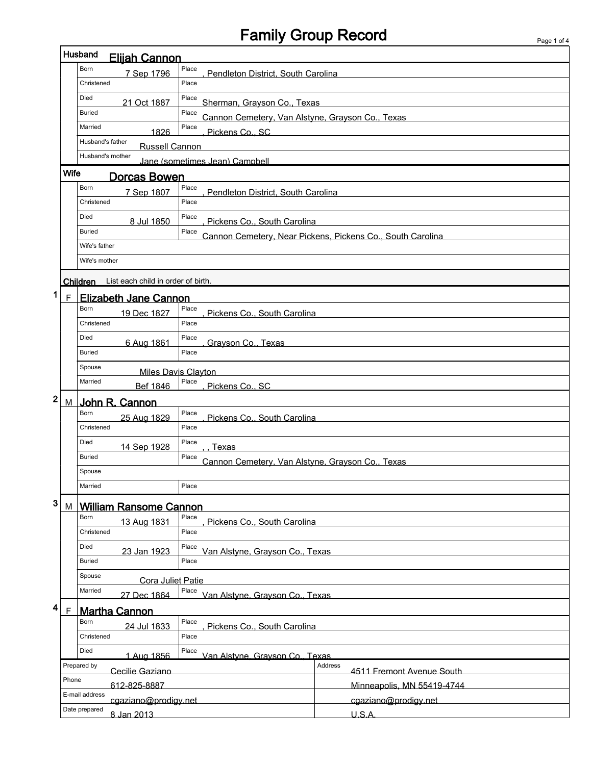## Family Group Record

 $\mathsf I$ 

|                  | Husband       | <b>Eliiah Cannon</b>                      |                                                           |                                                            |  |  |
|------------------|---------------|-------------------------------------------|-----------------------------------------------------------|------------------------------------------------------------|--|--|
|                  | Born          | 7 Sep 1796                                | Place<br>Pendleton District, South Carolina               |                                                            |  |  |
|                  | Christened    |                                           | Place                                                     |                                                            |  |  |
|                  | Died          | 21 Oct 1887                               | Place<br>Sherman, Grayson Co., Texas                      |                                                            |  |  |
|                  | <b>Buried</b> |                                           | Place<br>Cannon Cemetery, Van Alstyne, Grayson Co., Texas |                                                            |  |  |
|                  | Married       | 1826                                      | Place<br>Pickens Co., SC                                  |                                                            |  |  |
|                  |               | Husband's father<br><b>Russell Cannon</b> |                                                           |                                                            |  |  |
|                  |               | Husband's mother                          | Jane (sometimes Jean) Campbell                            |                                                            |  |  |
|                  | Wife          | <b>Dorcas Bowen</b>                       |                                                           |                                                            |  |  |
|                  | Born          | 7 Sep 1807                                | Place<br>Pendleton District. South Carolina               |                                                            |  |  |
|                  | Christened    |                                           | Place                                                     |                                                            |  |  |
|                  | Died          | 8 Jul 1850                                | Place<br>Pickens Co., South Carolina                      |                                                            |  |  |
|                  | <b>Buried</b> |                                           | Place                                                     | Cannon Cemetery, Near Pickens, Pickens Co., South Carolina |  |  |
|                  | Wife's father |                                           |                                                           |                                                            |  |  |
|                  | Wife's mother |                                           |                                                           |                                                            |  |  |
|                  | Children      | List each child in order of birth.        |                                                           |                                                            |  |  |
| 1<br>$\mathsf F$ |               | <b>Elizabeth Jane Cannon</b>              |                                                           |                                                            |  |  |
|                  | Born          | 19 Dec 1827                               | Place<br>Pickens Co., South Carolina                      |                                                            |  |  |
|                  | Christened    |                                           | Place                                                     |                                                            |  |  |
|                  | Died          | 6 Aug 1861                                | Place<br>Grayson Co., Texas                               |                                                            |  |  |
|                  | <b>Buried</b> |                                           | Place                                                     |                                                            |  |  |
|                  | Spouse        |                                           | Miles Davis Clayton                                       |                                                            |  |  |
|                  | Married       | Bef 1846                                  | Place<br>Pickens Co., SC                                  |                                                            |  |  |
| 2                | М             | John R. Cannon                            |                                                           |                                                            |  |  |
|                  | Born          | 25 Aug 1829                               | Place<br>Pickens Co., South Carolina                      |                                                            |  |  |
|                  | Christened    |                                           | Place                                                     |                                                            |  |  |
|                  | Died          | 14 Sep 1928                               | Place<br>Texas                                            |                                                            |  |  |
|                  | <b>Buried</b> |                                           | Place<br>Cannon Cemetery, Van Alstyne, Grayson Co., Texas |                                                            |  |  |
|                  | Spouse        |                                           |                                                           |                                                            |  |  |
|                  | Married       |                                           | Place                                                     |                                                            |  |  |
| 3                | M             | <b>William Ransome Cannon</b>             |                                                           |                                                            |  |  |
|                  | Born          | 13 Aug 1831                               | Place<br>Pickens Co., South Carolina                      |                                                            |  |  |
|                  | Christened    |                                           | Place                                                     |                                                            |  |  |
|                  | Died          | 23 Jan 1923                               | Place<br>Van Alstyne, Grayson Co., Texas                  |                                                            |  |  |
|                  | <b>Buried</b> |                                           | Place                                                     |                                                            |  |  |
|                  | Spouse        | Cora Juliet Patie                         |                                                           |                                                            |  |  |
|                  | Married       | 27 Dec 1864                               | Place<br>Van Alstvne. Gravson Co., Texas                  |                                                            |  |  |
| 4                | $\mathsf F$   | <b>Martha Cannon</b>                      |                                                           |                                                            |  |  |
|                  | Born          | 24 Jul 1833                               | Place<br>Pickens Co., South Carolina                      |                                                            |  |  |
|                  | Christened    |                                           | Place                                                     |                                                            |  |  |
|                  | Died          | 1 Aug 1856                                | Place<br>Van Alstvne, Gravson Co., Texas                  |                                                            |  |  |
|                  | Prepared by   | Cecilie Gaziano                           |                                                           | Address<br>4511 Fremont Avenue South                       |  |  |
|                  | Phone         | 612-825-8887                              |                                                           | Minneapolis, MN 55419-4744                                 |  |  |
|                  |               | E-mail address<br>cgaziano@prodigy.net    |                                                           | cgaziano@prodigy.net                                       |  |  |
|                  | Date prepared | 8 Jan 2013                                |                                                           | U.S.A.                                                     |  |  |
|                  |               |                                           |                                                           |                                                            |  |  |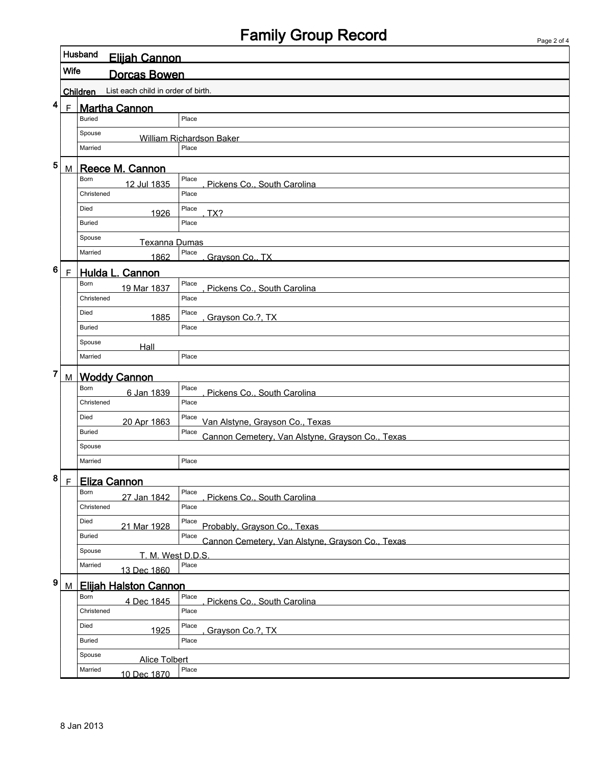## Family Group Record

|   |              | Husband<br>Elijah Cannon                              |                                                           |  |  |  |
|---|--------------|-------------------------------------------------------|-----------------------------------------------------------|--|--|--|
|   | <b>Wife</b>  | <b>Dorcas Bowen</b>                                   |                                                           |  |  |  |
|   |              | List each child in order of birth.<br><b>Children</b> |                                                           |  |  |  |
| 4 | $\mathsf{F}$ | <b>Martha Cannon</b>                                  |                                                           |  |  |  |
|   |              | <b>Buried</b>                                         | Place                                                     |  |  |  |
|   |              | Spouse                                                | William Richardson Baker                                  |  |  |  |
|   |              | Married                                               | Place                                                     |  |  |  |
| 5 | M            | Reece M. Cannon                                       |                                                           |  |  |  |
|   |              | Born<br>12 Jul 1835                                   | Place<br>Pickens Co., South Carolina                      |  |  |  |
|   |              | Christened                                            | Place                                                     |  |  |  |
|   |              | Died<br>1926                                          | Place<br>TX?                                              |  |  |  |
|   |              | <b>Buried</b>                                         | Place                                                     |  |  |  |
|   |              | Spouse<br>Texanna Dumas                               |                                                           |  |  |  |
|   |              | Married<br>1862                                       | Place<br>Grayson Co., TX                                  |  |  |  |
| 6 | $\mathsf F$  | Hulda L. Cannon                                       |                                                           |  |  |  |
|   |              | Born<br>19 Mar 1837                                   | Place<br>Pickens Co., South Carolina                      |  |  |  |
|   |              | Christened                                            | Place                                                     |  |  |  |
|   |              | Died<br>1885                                          | Place<br>Grayson Co.?, TX                                 |  |  |  |
|   |              | <b>Buried</b>                                         | Place                                                     |  |  |  |
|   |              | Spouse<br>Hall                                        |                                                           |  |  |  |
|   |              | Married                                               | Place                                                     |  |  |  |
| 7 | M            | <b>Woddy Cannon</b>                                   |                                                           |  |  |  |
|   |              | Born<br>6 Jan 1839                                    | Place<br>Pickens Co., South Carolina                      |  |  |  |
|   |              | Christened                                            | Place                                                     |  |  |  |
|   |              | Died<br>20 Apr 1863                                   | Place<br>Van Alstyne, Grayson Co., Texas                  |  |  |  |
|   |              | <b>Buried</b>                                         | Place<br>Cannon Cemetery, Van Alstyne, Grayson Co., Texas |  |  |  |
|   |              | Spouse                                                |                                                           |  |  |  |
|   |              | Married                                               | Place                                                     |  |  |  |
| 8 | $\mathsf F$  | <b>Eliza Cannon</b>                                   |                                                           |  |  |  |
|   |              | Born<br>27 Jan 1842                                   | Place<br>Pickens Co., South Carolina                      |  |  |  |
|   |              | Christened                                            | Place                                                     |  |  |  |
|   |              | Died<br>21 Mar 1928                                   | Place<br>Probably, Grayson Co., Texas                     |  |  |  |
|   |              | <b>Buried</b>                                         | Place<br>Cannon Cemetery, Van Alstyne, Grayson Co., Texas |  |  |  |
|   |              | Spouse<br>T. M. West D.D.S.                           |                                                           |  |  |  |
|   |              | Married<br>13 Dec 1860                                | Place                                                     |  |  |  |
| 9 | M            | <b>Elijah Halston Cannon</b>                          |                                                           |  |  |  |
|   |              | Born<br>4 Dec 1845                                    | Place<br>Pickens Co., South Carolina                      |  |  |  |
|   |              | Christened                                            | Place                                                     |  |  |  |
|   |              | Died<br>1925                                          | Place<br>Grayson Co.?, TX                                 |  |  |  |
|   |              | <b>Buried</b>                                         | Place                                                     |  |  |  |
|   |              | Spouse<br><b>Alice Tolbert</b>                        |                                                           |  |  |  |
|   |              | Married<br>10 Dec 1870                                | Place                                                     |  |  |  |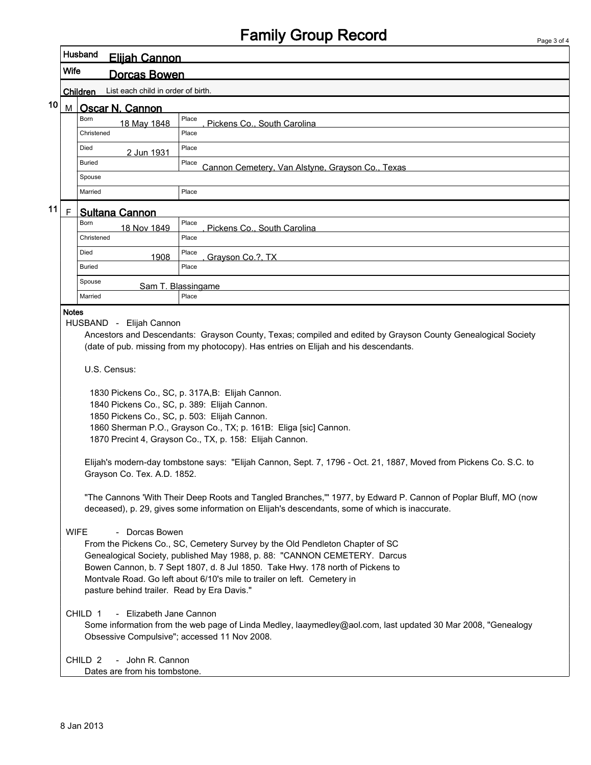## Family Group Record

|    | Husband<br><u>Eliiah Cannon</u>                                                                                                                                                                                                                                                                                                                                                                                                                                                                                                                                                                                                                                                                                                                                                                                                                                                                            |                                                                                                                                                                                                                                |                                                                                                                                                                                                                                                                                                                                                                                                                                         |  |  |  |  |
|----|------------------------------------------------------------------------------------------------------------------------------------------------------------------------------------------------------------------------------------------------------------------------------------------------------------------------------------------------------------------------------------------------------------------------------------------------------------------------------------------------------------------------------------------------------------------------------------------------------------------------------------------------------------------------------------------------------------------------------------------------------------------------------------------------------------------------------------------------------------------------------------------------------------|--------------------------------------------------------------------------------------------------------------------------------------------------------------------------------------------------------------------------------|-----------------------------------------------------------------------------------------------------------------------------------------------------------------------------------------------------------------------------------------------------------------------------------------------------------------------------------------------------------------------------------------------------------------------------------------|--|--|--|--|
|    | Wife<br>Dorcas Bowen                                                                                                                                                                                                                                                                                                                                                                                                                                                                                                                                                                                                                                                                                                                                                                                                                                                                                       |                                                                                                                                                                                                                                |                                                                                                                                                                                                                                                                                                                                                                                                                                         |  |  |  |  |
|    |                                                                                                                                                                                                                                                                                                                                                                                                                                                                                                                                                                                                                                                                                                                                                                                                                                                                                                            | List each child in order of birth.<br>Children                                                                                                                                                                                 |                                                                                                                                                                                                                                                                                                                                                                                                                                         |  |  |  |  |
| 10 | M I                                                                                                                                                                                                                                                                                                                                                                                                                                                                                                                                                                                                                                                                                                                                                                                                                                                                                                        | Oscar N. Cannon                                                                                                                                                                                                                |                                                                                                                                                                                                                                                                                                                                                                                                                                         |  |  |  |  |
|    |                                                                                                                                                                                                                                                                                                                                                                                                                                                                                                                                                                                                                                                                                                                                                                                                                                                                                                            | <b>Born</b><br>18 May 1848                                                                                                                                                                                                     | Place<br>Pickens Co., South Carolina                                                                                                                                                                                                                                                                                                                                                                                                    |  |  |  |  |
|    |                                                                                                                                                                                                                                                                                                                                                                                                                                                                                                                                                                                                                                                                                                                                                                                                                                                                                                            | Christened                                                                                                                                                                                                                     | Place                                                                                                                                                                                                                                                                                                                                                                                                                                   |  |  |  |  |
|    |                                                                                                                                                                                                                                                                                                                                                                                                                                                                                                                                                                                                                                                                                                                                                                                                                                                                                                            | Died<br>2 Jun 1931                                                                                                                                                                                                             | Place                                                                                                                                                                                                                                                                                                                                                                                                                                   |  |  |  |  |
|    |                                                                                                                                                                                                                                                                                                                                                                                                                                                                                                                                                                                                                                                                                                                                                                                                                                                                                                            | <b>Buried</b>                                                                                                                                                                                                                  | Place<br>Cannon Cemetery, Van Alstyne, Grayson Co., Texas                                                                                                                                                                                                                                                                                                                                                                               |  |  |  |  |
|    |                                                                                                                                                                                                                                                                                                                                                                                                                                                                                                                                                                                                                                                                                                                                                                                                                                                                                                            | Spouse                                                                                                                                                                                                                         |                                                                                                                                                                                                                                                                                                                                                                                                                                         |  |  |  |  |
|    |                                                                                                                                                                                                                                                                                                                                                                                                                                                                                                                                                                                                                                                                                                                                                                                                                                                                                                            | Married                                                                                                                                                                                                                        | Place                                                                                                                                                                                                                                                                                                                                                                                                                                   |  |  |  |  |
| 11 | F.                                                                                                                                                                                                                                                                                                                                                                                                                                                                                                                                                                                                                                                                                                                                                                                                                                                                                                         | <b>Sultana Cannon</b>                                                                                                                                                                                                          |                                                                                                                                                                                                                                                                                                                                                                                                                                         |  |  |  |  |
|    |                                                                                                                                                                                                                                                                                                                                                                                                                                                                                                                                                                                                                                                                                                                                                                                                                                                                                                            | Born<br>18 Nov 1849                                                                                                                                                                                                            | Place<br>Pickens Co., South Carolina                                                                                                                                                                                                                                                                                                                                                                                                    |  |  |  |  |
|    |                                                                                                                                                                                                                                                                                                                                                                                                                                                                                                                                                                                                                                                                                                                                                                                                                                                                                                            | Christened                                                                                                                                                                                                                     | Place                                                                                                                                                                                                                                                                                                                                                                                                                                   |  |  |  |  |
|    |                                                                                                                                                                                                                                                                                                                                                                                                                                                                                                                                                                                                                                                                                                                                                                                                                                                                                                            | Died<br>1908                                                                                                                                                                                                                   | Place<br>Grayson Co.?, TX                                                                                                                                                                                                                                                                                                                                                                                                               |  |  |  |  |
|    |                                                                                                                                                                                                                                                                                                                                                                                                                                                                                                                                                                                                                                                                                                                                                                                                                                                                                                            | <b>Buried</b>                                                                                                                                                                                                                  | Place                                                                                                                                                                                                                                                                                                                                                                                                                                   |  |  |  |  |
|    |                                                                                                                                                                                                                                                                                                                                                                                                                                                                                                                                                                                                                                                                                                                                                                                                                                                                                                            | Spouse                                                                                                                                                                                                                         | Sam T. Blassingame                                                                                                                                                                                                                                                                                                                                                                                                                      |  |  |  |  |
|    |                                                                                                                                                                                                                                                                                                                                                                                                                                                                                                                                                                                                                                                                                                                                                                                                                                                                                                            | Married                                                                                                                                                                                                                        | Place                                                                                                                                                                                                                                                                                                                                                                                                                                   |  |  |  |  |
|    | HUSBAND - Elijah Cannon<br>Ancestors and Descendants: Grayson County, Texas; compiled and edited by Grayson County Genealogical Society<br>(date of pub. missing from my photocopy). Has entries on Elijah and his descendants.<br>U.S. Census:<br>1830 Pickens Co., SC, p. 317A, B: Elijah Cannon.<br>1840 Pickens Co., SC, p. 389: Elijah Cannon.<br>1850 Pickens Co., SC, p. 503: Elijah Cannon.<br>1860 Sherman P.O., Grayson Co., TX; p. 161B: Eliga [sic] Cannon.<br>1870 Precint 4, Grayson Co., TX, p. 158: Elijah Cannon.<br>Elijah's modern-day tombstone says: "Elijah Cannon, Sept. 7, 1796 - Oct. 21, 1887, Moved from Pickens Co. S.C. to<br>Grayson Co. Tex. A.D. 1852.<br>"The Cannons 'With Their Deep Roots and Tangled Branches,"" 1977, by Edward P. Cannon of Poplar Bluff, MO (now<br>deceased), p. 29, gives some information on Elijah's descendants, some of which is inaccurate. |                                                                                                                                                                                                                                |                                                                                                                                                                                                                                                                                                                                                                                                                                         |  |  |  |  |
|    | <b>WIFE</b>                                                                                                                                                                                                                                                                                                                                                                                                                                                                                                                                                                                                                                                                                                                                                                                                                                                                                                | - Dorcas Bowen<br>pasture behind trailer. Read by Era Davis."<br>- Elizabeth Jane Cannon<br>CHILD 1<br>Obsessive Compulsive"; accessed 11 Nov 2008.<br>- John R. Cannon<br>CHILD <sub>2</sub><br>Dates are from his tombstone. | From the Pickens Co., SC, Cemetery Survey by the Old Pendleton Chapter of SC<br>Genealogical Society, published May 1988, p. 88: "CANNON CEMETERY. Darcus<br>Bowen Cannon, b. 7 Sept 1807, d. 8 Jul 1850. Take Hwy. 178 north of Pickens to<br>Montvale Road. Go left about 6/10's mile to trailer on left. Cemetery in<br>Some information from the web page of Linda Medley, laaymedley@aol.com, last updated 30 Mar 2008, "Genealogy |  |  |  |  |